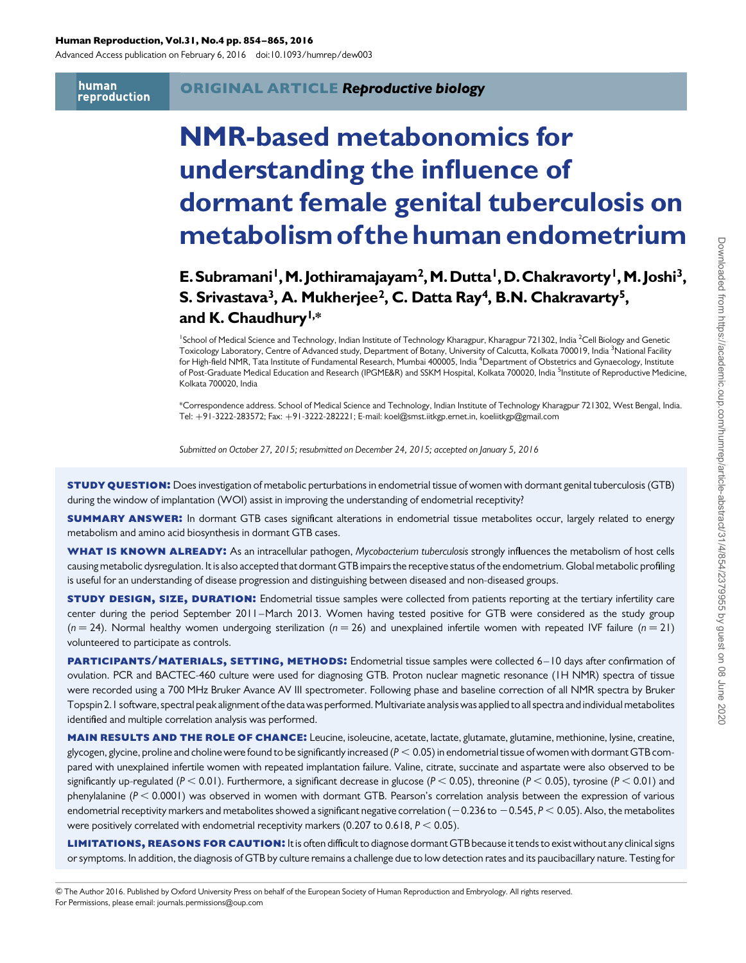#### Human Reproduction, Vol.31, No.4 pp. 854–865, 2016

Advanced Access publication on February 6, 2016 doi:10.1093/humrep/dew003

human reproduction

# NMR-based metabonomics for understanding the influence of dormant female genital tuberculosis on metabolism of the human endometrium

E. Subramani<sup>1</sup>, M. Jothiramajayam<sup>2</sup>, M. Dutta<sup>1</sup>, D. Chakravorty<sup>1</sup>, M. Joshi<sup>3</sup>, S. Srivastava<sup>3</sup>, A. Mukherjee<sup>2</sup>, C. Datta Ray<sup>4</sup>, B.N. Chakravarty<sup>5</sup>, and K. Chaudhury $1,*$ 

<sup>1</sup>School of Medical Science and Technology, Indian Institute of Technology Kharagpur, Kharagpur 721302, India <sup>2</sup>Cell Biology and Genetic Toxicology Laboratory, Centre of Advanced study, Department of Botany, University of Calcutta, Kolkata 700019, India <sup>3</sup>National Facility for High-field NMR, Tata Institute of Fundamental Research, Mumbai 400005, India <sup>4</sup>Department of Obstetrics and Gynaecology, Institute of Post-Graduate Medical Education and Research (IPGME&R) and SSKM Hospital, Kolkata 700020, India <sup>5</sup>Institute of Reproductive Medicine, Kolkata 700020, India

\*Correspondence address. School of Medical Science and Technology, Indian Institute of Technology Kharagpur 721302, West Bengal, India. Tel: +91-3222-283572; Fax: +91-3222-282221; E-mail: koel@smst.iitkgp.ernet.in, koeliitkgp@gmail.com

Submitted on October 27, 2015; resubmitted on December 24, 2015; accepted on January 5, 2016

**STUDY QUESTION:** Does investigation of metabolic perturbations in endometrial tissue of women with dormant genital tuberculosis (GTB) during the window of implantation (WOI) assist in improving the understanding of endometrial receptivity?

**SUMMARY ANSWER:** In dormant GTB cases significant alterations in endometrial tissue metabolites occur, largely related to energy metabolism and amino acid biosynthesis in dormant GTB cases.

WHAT IS KNOWN ALREADY: As an intracellular pathogen, Mycobacterium tuberculosis strongly influences the metabolism of host cells causing metabolic dysregulation. It is also accepted that dormant GTB impairs the receptive status of the endometrium. Global metabolic profiling is useful for an understanding of disease progression and distinguishing between diseased and non-diseased groups.

**STUDY DESIGN, SIZE, DURATION:** Endometrial tissue samples were collected from patients reporting at the tertiary infertility care center during the period September 2011–March 2013. Women having tested positive for GTB were considered as the study group  $(n = 24)$ . Normal healthy women undergoing sterilization  $(n = 26)$  and unexplained infertile women with repeated IVF failure  $(n = 21)$ volunteered to participate as controls.

PARTICIPANTS/MATERIALS, SETTING, METHODS: Endometrial tissue samples were collected 6-10 days after confirmation of ovulation. PCR and BACTEC-460 culture were used for diagnosing GTB. Proton nuclear magnetic resonance (1H NMR) spectra of tissue were recorded using a 700 MHz Bruker Avance AV III spectrometer. Following phase and baseline correction of all NMR spectra by Bruker Topspin 2.1 software, spectral peak alignment of the data was performed. Multivariate analysis was applied to all spectra and individual metabolites identified and multiple correlation analysis was performed.

MAIN RESULTS AND THE ROLE OF CHANCE: Leucine, isoleucine, acetate, lactate, glutamate, glutamine, methionine, lysine, creatine, glycogen, glycine, proline and choline were found to be significantly increased ( $P < 0.05$ ) in endometrial tissue of women with dormant GTB compared with unexplained infertile women with repeated implantation failure. Valine, citrate, succinate and aspartate were also observed to be significantly up-regulated ( $P < 0.01$ ). Furthermore, a significant decrease in glucose ( $P < 0.05$ ), threonine ( $P < 0.05$ ), tyrosine ( $P < 0.01$ ) and phenylalanine ( $P < 0.0001$ ) was observed in women with dormant GTB. Pearson's correlation analysis between the expression of various endometrial receptivity markers and metabolites showed a significant negative correlation  $(-0.236$  to  $-0.545$ ,  $P < 0.05$ ). Also, the metabolites were positively correlated with endometrial receptivity markers (0.207 to 0.618,  $P < 0.05$ ).

LIMITATIONS, REASONS FOR CAUTION: It is often difficult to diagnose dormant GTB because it tends to exist without any clinical signs or symptoms. In addition, the diagnosis of GTB by culture remains a challenge due to low detection rates and its paucibacillary nature. Testing for

<sup>&</sup>amp; The Author 2016. Published by Oxford University Press on behalf of the European Society of Human Reproduction and Embryology. All rights reserved. For Permissions, please email: journals.permissions@oup.com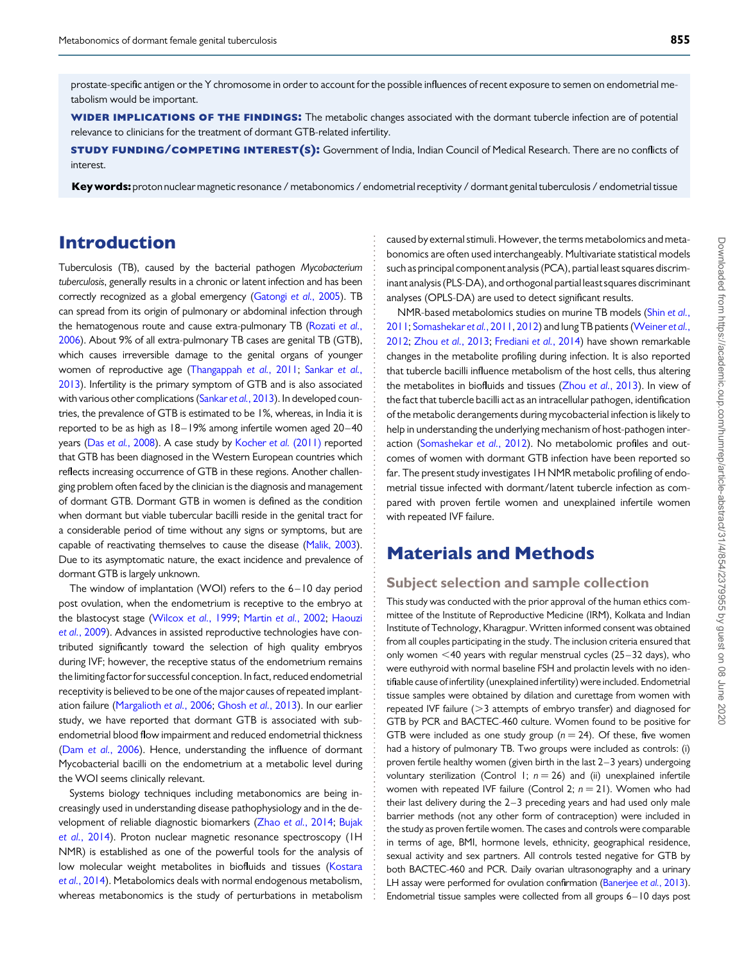prostate-specific antigen or the Y chromosome in order to account for the possible influences of recent exposure to semen on endometrial metabolism would be important.

WIDER IMPLICATIONS OF THE FINDINGS: The metabolic changes associated with the dormant tubercle infection are of potential relevance to clinicians for the treatment of dormant GTB-related infertility.

**STUDY FUNDING/COMPETING INTEREST(S):** Government of India, Indian Council of Medical Research. There are no conflicts of interest.

Keywords: proton nuclear magnetic resonance / metabonomics / endometrial receptivity / dormant genital tuberculosis / endometrial tissue

## Introduction

Tuberculosis (TB), caused by the bacterial pathogen Mycobacterium tuberculosis, generally results in a chronic or latent infection and has been correctly recognized as a global emergency [\(Gatongi](#page-10-0) et al., 2005). TB can spread from its origin of pulmonary or abdominal infection through the hematogenous route and cause extra-pulmonary TB ([Rozati](#page-10-0) et al., [2006\)](#page-10-0). About 9% of all extra-pulmonary TB cases are genital TB (GTB), which causes irreversible damage to the genital organs of younger women of reproductive age [\(Thangappah](#page-10-0) et al., 2011; [Sankar](#page-10-0) et al., [2013\)](#page-10-0). Infertility is the primary symptom of GTB and is also associated with various other complications ([Sankar](#page-10-0) et al., 2013). In developed countries, the prevalence of GTB is estimated to be 1%, whereas, in India it is reported to be as high as 18–19% among infertile women aged 20–40 years (Das et al.[, 2008](#page-9-0)). A case study by [Kocher](#page-10-0) et al. (2011) reported that GTB has been diagnosed in the Western European countries which reflects increasing occurrence of GTB in these regions. Another challenging problem often faced by the clinician is the diagnosis and management of dormant GTB. Dormant GTB in women is defined as the condition when dormant but viable tubercular bacilli reside in the genital tract for a considerable period of time without any signs or symptoms, but are capable of reactivating themselves to cause the disease [\(Malik, 2003\)](#page-10-0). Due to its asymptomatic nature, the exact incidence and prevalence of dormant GTB is largely unknown.

The window of implantation (WOI) refers to the 6-10 day period post ovulation, when the endometrium is receptive to the embryo at the blastocyst stage [\(Wilcox](#page-11-0) et al., 1999; [Martin](#page-10-0) et al., 2002; [Haouzi](#page-10-0) et al.[, 2009](#page-10-0)). Advances in assisted reproductive technologies have contributed significantly toward the selection of high quality embryos during IVF; however, the receptive status of the endometrium remains the limiting factor for successful conception. In fact, reduced endometrial receptivity is believed to be one of the major causes of repeated implantation failure ([Margalioth](#page-10-0) et al., 2006; [Ghosh](#page-10-0) et al., 2013). In our earlier study, we have reported that dormant GTB is associated with subendometrial blood flow impairment and reduced endometrial thickness (Dam et al.[, 2006](#page-9-0)). Hence, understanding the influence of dormant Mycobacterial bacilli on the endometrium at a metabolic level during the WOI seems clinically relevant.

Systems biology techniques including metabonomics are being increasingly used in understanding disease pathophysiology and in the development of reliable diagnostic biomarkers (Zhao et al.[, 2014;](#page-11-0) [Bujak](#page-9-0) et al.[, 2014](#page-9-0)). Proton nuclear magnetic resonance spectroscopy (1H NMR) is established as one of the powerful tools for the analysis of low molecular weight metabolites in biofluids and tissues [\(Kostara](#page-10-0) et al.[, 2014](#page-10-0)). Metabolomics deals with normal endogenous metabolism, whereas metabonomics is the study of perturbations in metabolism

caused by external stimuli. However, the terms metabolomics and metabonomics are often used interchangeably. Multivariate statistical models such as principal component analysis (PCA), partial least squares discriminant analysis (PLS-DA), and orthogonal partial least squares discriminant analyses (OPLS-DA) are used to detect significant results.

NMR-based metabolomics studies on murine TB models (Shin [et al.](#page-10-0), [2011](#page-10-0); [Somashekar](#page-10-0) et al., 2011, [2012](#page-10-0)) and lung TB patients [\(Weiner](#page-11-0) et al., [2012](#page-11-0); Zhou et al.[, 2013;](#page-11-0) [Frediani](#page-10-0) et al., 2014) have shown remarkable changes in the metabolite profiling during infection. It is also reported that tubercle bacilli influence metabolism of the host cells, thus altering the metabolites in biofluids and tissues (Zhou et al.[, 2013\)](#page-11-0). In view of the fact that tubercle bacilli act as an intracellular pathogen, identification of the metabolic derangements during mycobacterial infection is likely to help in understanding the underlying mechanism of host-pathogen inter-action [\(Somashekar](#page-10-0) et al., 2012). No metabolomic profiles and outcomes of women with dormant GTB infection have been reported so far. The present study investigates 1H NMR metabolic profiling of endometrial tissue infected with dormant/latent tubercle infection as compared with proven fertile women and unexplained infertile women with repeated IVF failure.

# Materials and Methods

#### Subject selection and sample collection

This study was conducted with the prior approval of the human ethics committee of the Institute of Reproductive Medicine (IRM), Kolkata and Indian Institute of Technology, Kharagpur. Written informed consent was obtained from all couples participating in the study. The inclusion criteria ensured that only women  $<$  40 years with regular menstrual cycles (25 – 32 days), who were euthyroid with normal baseline FSH and prolactin levels with no identifiable cause of infertility (unexplained infertility) were included. Endometrial tissue samples were obtained by dilation and curettage from women with repeated IVF failure  $(>3$  attempts of embryo transfer) and diagnosed for GTB by PCR and BACTEC-460 culture. Women found to be positive for GTB were included as one study group ( $n = 24$ ). Of these, five women had a history of pulmonary TB. Two groups were included as controls: (i) proven fertile healthy women (given birth in the last 2-3 years) undergoing voluntary sterilization (Control 1;  $n = 26$ ) and (ii) unexplained infertile women with repeated IVF failure (Control 2;  $n = 21$ ). Women who had their last delivery during the  $2-3$  preceding years and had used only male barrier methods (not any other form of contraception) were included in the study as proven fertile women. The cases and controls were comparable in terms of age, BMI, hormone levels, ethnicity, geographical residence, sexual activity and sex partners. All controls tested negative for GTB by both BACTEC-460 and PCR. Daily ovarian ultrasonography and a urinary LH assay were performed for ovulation confirmation [\(Banerjee](#page-9-0) et al., 2013). Endometrial tissue samples were collected from all groups 6–10 days post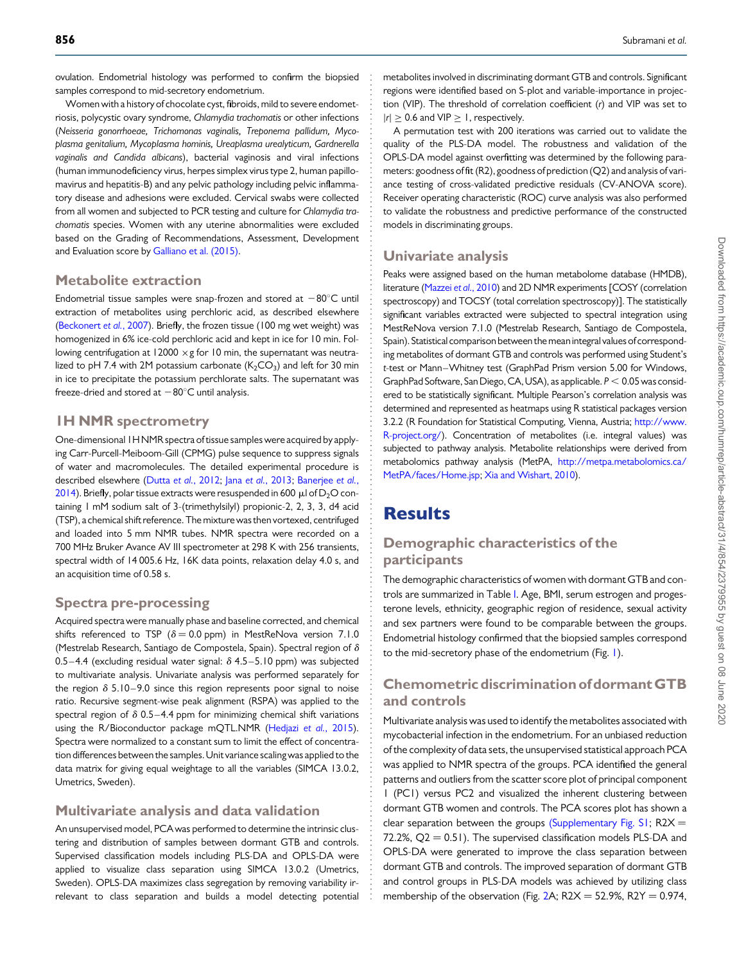ovulation. Endometrial histology was performed to confirm the biopsied samples correspond to mid-secretory endometrium.

Women with a history of chocolate cyst, fibroids, mild to severe endometriosis, polycystic ovary syndrome, Chlamydia trachomatis or other infections (Neisseria gonorrhoeae, Trichomonas vaginalis, Treponema pallidum, Mycoplasma genitalium, Mycoplasma hominis, Ureaplasma urealyticum, Gardnerella vaginalis and Candida albicans), bacterial vaginosis and viral infections (human immunodeficiency virus, herpes simplex virus type 2, human papillomavirus and hepatitis-B) and any pelvic pathology including pelvic inflammatory disease and adhesions were excluded. Cervical swabs were collected from all women and subjected to PCR testing and culture for Chlamydia trachomatis species. Women with any uterine abnormalities were excluded based on the Grading of Recommendations, Assessment, Development and Evaluation score by [Galliano et al. \(2015\).](#page-10-0)

#### Metabolite extraction

Endometrial tissue samples were snap-frozen and stored at  $-80^{\circ}$ C until extraction of metabolites using perchloric acid, as described elsewhere [\(Beckonert](#page-9-0) et al., 2007). Briefly, the frozen tissue (100 mg wet weight) was homogenized in 6% ice-cold perchloric acid and kept in ice for 10 min. Following centrifugation at 12000  $\times$ g for 10 min, the supernatant was neutralized to pH 7.4 with 2M potassium carbonate  $(K_2CO_3)$  and left for 30 min in ice to precipitate the potassium perchlorate salts. The supernatant was freeze-dried and stored at  $-80^{\circ}$ C until analysis.

#### 1H NMR spectrometry

One-dimensional 1H NMR spectra of tissue samples were acquired by applying Carr-Purcell-Meiboom-Gill (CPMG) pulse sequence to suppress signals of water and macromolecules. The detailed experimental procedure is described elsewhere (Dutta et al.[, 2012;](#page-10-0) Jana et al.[, 2013;](#page-10-0) [Banerjee](#page-9-0) et al., [2014](#page-9-0)). Briefly, polar tissue extracts were resuspended in 600  $\mu$ l of D<sub>2</sub>O containing 1 mM sodium salt of 3-(trimethylsilyl) propionic-2, 2, 3, 3, d4 acid (TSP), a chemical shift reference. The mixture was then vortexed, centrifuged and loaded into 5 mm NMR tubes. NMR spectra were recorded on a 700 MHz Bruker Avance AV III spectrometer at 298 K with 256 transients, spectral width of 14 005.6 Hz, 16K data points, relaxation delay 4.0 s, and an acquisition time of 0.58 s.

#### Spectra pre-processing

Acquired spectra were manually phase and baseline corrected, and chemical shifts referenced to TSP ( $\delta = 0.0$  ppm) in MestReNova version 7.1.0 (Mestrelab Research, Santiago de Compostela, Spain). Spectral region of  $\delta$ 0.5 – 4.4 (excluding residual water signal:  $\delta$  4.5 – 5.10 ppm) was subjected to multivariate analysis. Univariate analysis was performed separately for the region  $\delta$  5.10-9.0 since this region represents poor signal to noise ratio. Recursive segment-wise peak alignment (RSPA) was applied to the spectral region of  $\delta$  0.5-4.4 ppm for minimizing chemical shift variations using the R/Bioconductor package mQTL.NMR [\(Hedjazi](#page-10-0) et al., 2015). Spectra were normalized to a constant sum to limit the effect of concentration differences between the samples.Unit variance scaling was applied to the data matrix for giving equal weightage to all the variables (SIMCA 13.0.2, Umetrics, Sweden).

#### Multivariate analysis and data validation

An unsupervised model, PCA was performed to determine the intrinsic clustering and distribution of samples between dormant GTB and controls. Supervised classification models including PLS-DA and OPLS-DA were applied to visualize class separation using SIMCA 13.0.2 (Umetrics, Sweden). OPLS-DA maximizes class segregation by removing variability irrelevant to class separation and builds a model detecting potential metabolites involved in discriminating dormant GTB and controls. Significant regions were identified based on S-plot and variable-importance in projection (VIP). The threshold of correlation coefficient (r) and VIP was set to  $|r| \geq 0.6$  and VIP  $\geq 1$ , respectively.

A permutation test with 200 iterations was carried out to validate the quality of the PLS-DA model. The robustness and validation of the OPLS-DA model against overfitting was determined by the following parameters: goodness of fit (R2), goodness of prediction (Q2) and analysis of variance testing of cross-validated predictive residuals (CV-ANOVA score). Receiver operating characteristic (ROC) curve analysis was also performed to validate the robustness and predictive performance of the constructed models in discriminating groups.

## Univariate analysis

Peaks were assigned based on the human metabolome database (HMDB), literature ([Mazzei](#page-10-0) et al., 2010) and 2D NMR experiments [COSY (correlation spectroscopy) and TOCSY (total correlation spectroscopy)]. The statistically significant variables extracted were subjected to spectral integration using MestReNova version 7.1.0 (Mestrelab Research, Santiago de Compostela, Spain). Statistical comparison between themean integral values of corresponding metabolites of dormant GTB and controls was performed using Student's t-test or Mann–Whitney test (GraphPad Prism version 5.00 for Windows, GraphPad Software, San Diego, CA, USA), as applicable.  $P < 0.05$  was considered to be statistically significant. Multiple Pearson's correlation analysis was determined and represented as heatmaps using R statistical packages version 3.2.2 (R Foundation for Statistical Computing, Vienna, Austria; [http://www.](http://www.R-project.org/) [R-project.org/\)](http://www.R-project.org/). Concentration of metabolites (i.e. integral values) was subjected to pathway analysis. Metabolite relationships were derived from metabolomics pathway analysis (MetPA, [http://metpa.metabolomics.ca/](http://metpa.metabolomics.ca/MetPA/faces/Home.jsp) [MetPA/faces/Home.jsp](http://metpa.metabolomics.ca/MetPA/faces/Home.jsp); [Xia and Wishart, 2010](#page-11-0)).

# **Results**

## Demographic characteristics of the participants

The demographic characteristics of women with dormant GTB and controls are summarized in Table [I.](#page-3-0) Age, BMI, serum estrogen and progesterone levels, ethnicity, geographic region of residence, sexual activity and sex partners were found to be comparable between the groups. Endometrial histology confirmed that the biopsied samples correspond to the mid-secretory phase of the endometrium (Fig. [1](#page-3-0)).

## Chemometric discrimination of dormant GTB and controls

Multivariate analysis was used to identify the metabolites associated with mycobacterial infection in the endometrium. For an unbiased reduction of the complexity of data sets, the unsupervised statistical approach PCA was applied to NMR spectra of the groups. PCA identified the general patterns and outliers from the scatter score plot of principal component 1 (PC1) versus PC2 and visualized the inherent clustering between dormant GTB women and controls. The PCA scores plot has shown a clear separation between the groups [\(Supplementary Fig. S1](http://humrep.oxfordjournals.org/lookup/suppl/doi:10.1093/humrep/dew003/-/DC1);  $R2X =$ 72.2%,  $Q2 = 0.51$ ). The supervised classification models PLS-DA and OPLS-DA were generated to improve the class separation between dormant GTB and controls. The improved separation of dormant GTB and control groups in PLS-DA models was achieved by utilizing class membership of the observation (Fig.  $2A$ ; R2X = 52.9%, R2Y = 0.974,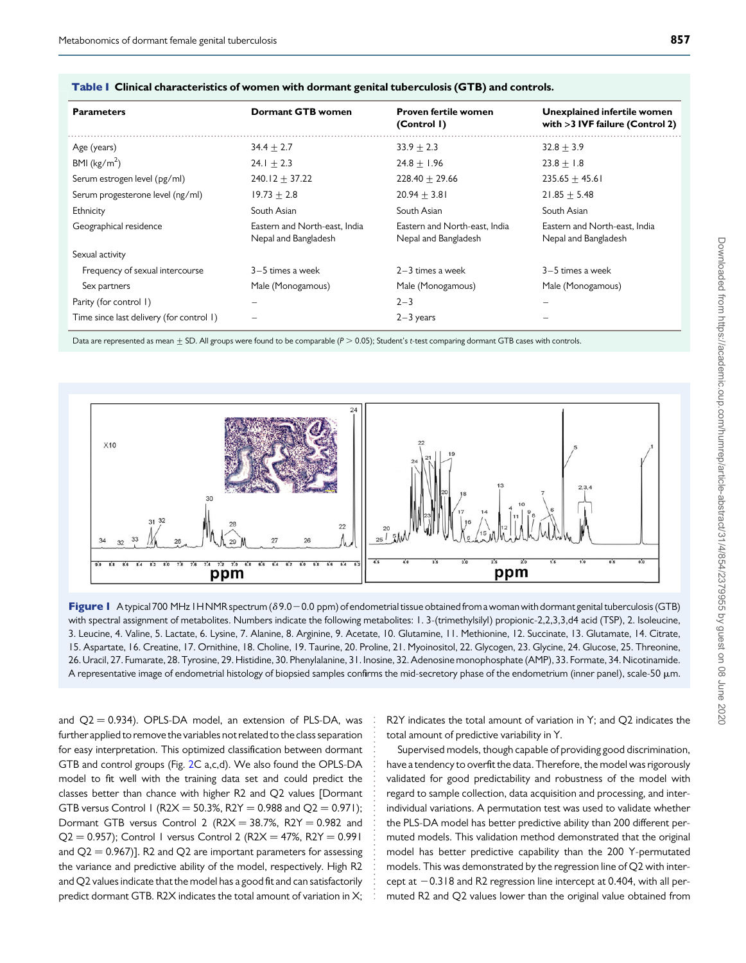| <b>Parameters</b>                        | <b>Dormant GTB women</b>                              | <b>Proven fertile women</b><br>(Control I)            | Unexplained infertile women<br>with >3 IVF failure (Control 2) |
|------------------------------------------|-------------------------------------------------------|-------------------------------------------------------|----------------------------------------------------------------|
| Age (years)                              | $34.4 + 2.7$                                          | $33.9 + 2.3$                                          | $32.8 + 3.9$                                                   |
| BMI ( $\text{kg/m}^2$ )                  | $24.1 + 2.3$                                          | $24.8 + 1.96$                                         | $23.8 + 1.8$                                                   |
| Serum estrogen level (pg/ml)             | $240.12 + 37.22$                                      | $228.40 \pm 29.66$                                    | $235.65 \pm 45.61$                                             |
| Serum progesterone level (ng/ml)         | $19.73 + 2.8$                                         | $20.94 + 3.81$                                        | $21.85 + 5.48$                                                 |
| Ethnicity                                | South Asian                                           | South Asian                                           | South Asian                                                    |
| Geographical residence                   | Eastern and North-east, India<br>Nepal and Bangladesh | Eastern and North-east, India<br>Nepal and Bangladesh | Eastern and North-east, India<br>Nepal and Bangladesh          |
| Sexual activity                          |                                                       |                                                       |                                                                |
| Frequency of sexual intercourse          | $3-5$ times a week                                    | $2-3$ times a week                                    | $3-5$ times a week                                             |
| Sex partners                             | Male (Monogamous)                                     | Male (Monogamous)                                     | Male (Monogamous)                                              |
| Parity (for control 1)                   |                                                       | $2 - 3$                                               |                                                                |
| Time since last delivery (for control 1) |                                                       | $2-3$ years                                           |                                                                |

#### <span id="page-3-0"></span>Table I Clinical characteristics of women with dormant genital tuberculosis (GTB) and controls.

Data are represented as mean  $\pm$  SD. All groups were found to be comparable ( $P > 0.05$ ); Student's t-test comparing dormant GTB cases with controls.



Figure 1 A typical 700 MHz IHNMR spectrum ( $\delta$ 9.0 – 0.0 ppm) of endometrial tissue obtained from a woman with dormant genital tuberculosis (GTB) with spectral assignment of metabolites. Numbers indicate the following metabolites: 1. 3-(trimethylsilyl) propionic-2,2,3,3,d4 acid (TSP), 2. Isoleucine, 3. Leucine, 4. Valine, 5. Lactate, 6. Lysine, 7. Alanine, 8. Arginine, 9. Acetate, 10. Glutamine, 11. Methionine, 12. Succinate, 13. Glutamate, 14. Citrate, 15. Aspartate, 16. Creatine, 17. Ornithine, 18. Choline, 19. Taurine, 20. Proline, 21. Myoinositol, 22. Glycogen, 23. Glycine, 24. Glucose, 25. Threonine, 26. Uracil, 27. Fumarate, 28. Tyrosine, 29. Histidine, 30. Phenylalanine, 31. Inosine, 32. Adenosine monophosphate (AMP), 33. Formate, 34. Nicotinamide. A representative image of endometrial histology of biopsied samples confirms the mid-secretory phase of the endometrium (inner panel), scale-50  $\mu$ m.

and  $Q2 = 0.934$ ). OPLS-DA model, an extension of PLS-DA, was further applied to remove the variables not related to the class separation for easy interpretation. This optimized classification between dormant GTB and control groups (Fig. [2](#page-4-0)C a,c,d). We also found the OPLS-DA model to fit well with the training data set and could predict the classes better than chance with higher R2 and Q2 values [Dormant GTB versus Control 1 (R2X = 50.3%, R2Y = 0.988 and Q2 = 0.971); Dormant GTB versus Control 2 (R2X = 38.7%, R2Y =  $0.982$  and  $Q2 = 0.957$ ); Control 1 versus Control 2 (R2X = 47%, R2Y = 0.991 and  $Q2 = 0.967$ ]. R2 and  $Q2$  are important parameters for assessing the variance and predictive ability of the model, respectively. High R2 and Q2 values indicate that the model has a good fit and can satisfactorily predict dormant GTB. R2X indicates the total amount of variation in X;

R2Y indicates the total amount of variation in Y; and Q2 indicates the total amount of predictive variability in Y.

Supervised models, though capable of providing good discrimination, have a tendency to overfit the data. Therefore, the model was rigorously validated for good predictability and robustness of the model with regard to sample collection, data acquisition and processing, and interindividual variations. A permutation test was used to validate whether the PLS-DA model has better predictive ability than 200 different permuted models. This validation method demonstrated that the original model has better predictive capability than the 200 Y-permutated models. This was demonstrated by the regression line of Q2 with intercept at  $-0.318$  and R2 regression line intercept at 0.404, with all permuted R2 and Q2 values lower than the original value obtained from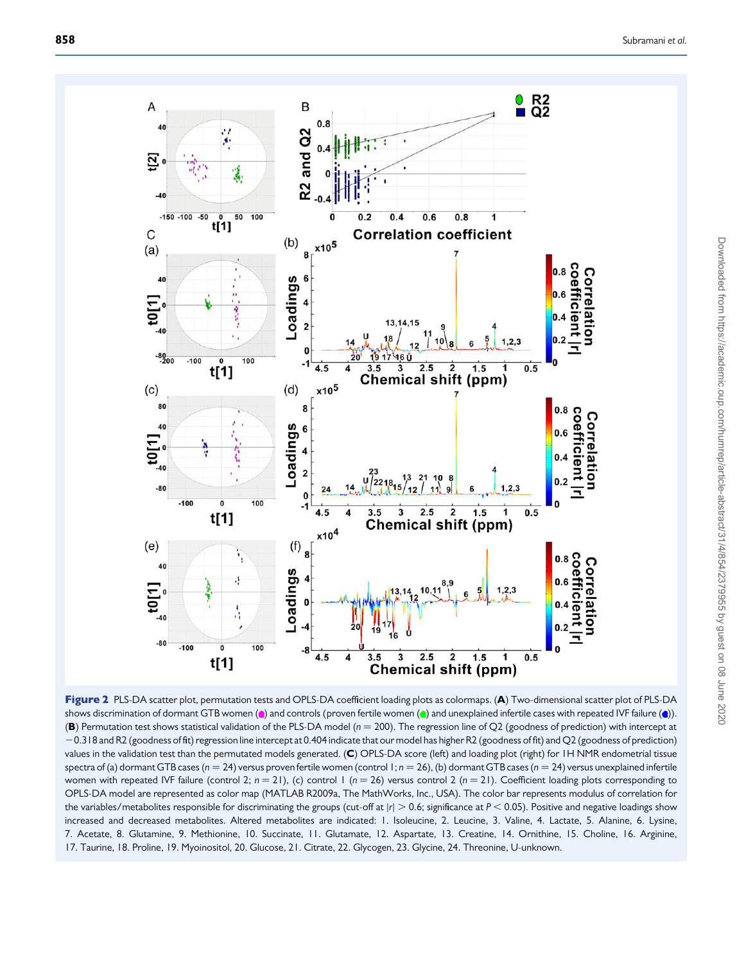<span id="page-4-0"></span>

Figure 2 PLS-DA scatter plot, permutation tests and OPLS-DA coefficient loading plots as colormaps. (A) Two-dimensional scatter plot of PLS-DA shows discrimination of dormant GTB women (.) and controls (proven fertile women (.) and unexplained infertile cases with repeated IVF failure (.)). (B) Permutation test shows statistical validation of the PLS-DA model ( $n = 200$ ). The regression line of Q2 (goodness of prediction) with intercept at 20.318 and R2 (goodness of fit) regression line intercept at 0.404 indicate that our model has higher R2 (goodness of fit) and Q2 (goodness of prediction) values in the validation test than the permutated models generated. ( $\mathsf{C}$ ) OPLS-DA score (left) and loading plot (right) for 1H NMR endometrial tissue spectra of (a) dormant GTB cases ( $n = 24$ ) versus proven fertile women (control 1;  $n = 26$ ), (b) dormant GTB cases ( $n = 24$ ) versus unexplained infertile women with repeated IVF failure (control 2;  $n = 21$ ), (c) control 1 ( $n = 26$ ) versus control 2 ( $n = 21$ ). Coefficient loading plots corresponding to OPLS-DA model are represented as color map (MATLAB R2009a, The MathWorks, Inc., USA). The color bar represents modulus of correlation for the variables/metabolites responsible for discriminating the groups (cut-off at  $|r| > 0.6$ ; significance at  $P < 0.05$ ). Positive and negative loadings show increased and decreased metabolites. Altered metabolites are indicated: 1. Isoleucine, 2. Leucine, 3. Valine, 4. Lactate, 5. Alanine, 6. Lysine, 7. Acetate, 8. Glutamine, 9. Methionine, 10. Succinate, 11. Glutamate, 12. Aspartate, 13. Creatine, 14. Ornithine, 15. Choline, 16. Arginine, 17. Taurine, 18. Proline, 19. Myoinositol, 20. Glucose, 21. Citrate, 22. Glycogen, 23. Glycine, 24. Threonine, U-unknown.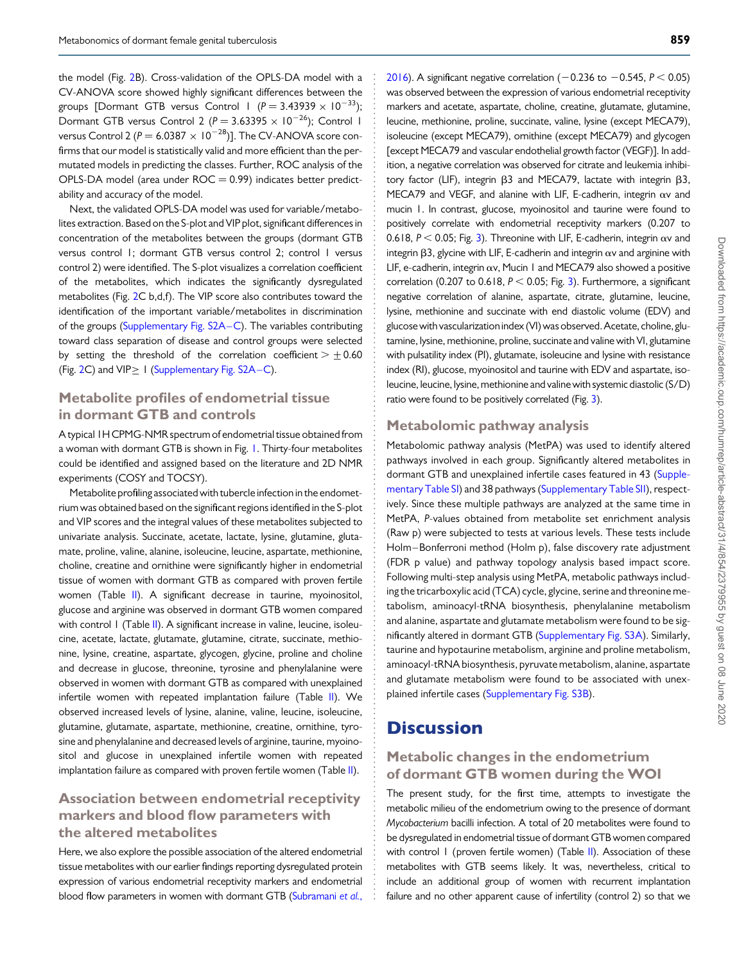the model (Fig. [2](#page-4-0)B). Cross-validation of the OPLS-DA model with a CV-ANOVA score showed highly significant differences between the groups [Dormant GTB versus Control 1 ( $P = 3.43939 \times 10^{-33}$ ); Dormant GTB versus Control 2 ( $P = 3.63395 \times 10^{-26}$ ); Control 1 versus Control 2 ( $P = 6.0387 \times 10^{-28}$ )]. The CV-ANOVA score confirms that our model is statistically valid and more efficient than the permutated models in predicting the classes. Further, ROC analysis of the OPLS-DA model (area under  $ROC = 0.99$ ) indicates better predictability and accuracy of the model.

Next, the validated OPLS-DA model was used for variable/metabolites extraction. Based on the S-plot and VIP plot, significant differences in concentration of the metabolites between the groups (dormant GTB versus control 1; dormant GTB versus control 2; control 1 versus control 2) were identified. The S-plot visualizes a correlation coefficient of the metabolites, which indicates the significantly dysregulated metabolites (Fig. [2C](#page-4-0) b,d,f). The VIP score also contributes toward the identification of the important variable/metabolites in discrimination of the groups [\(Supplementary Fig. S2A –C\)](http://humrep.oxfordjournals.org/lookup/suppl/doi:10.1093/humrep/dew003/-/DC1). The variables contributing toward class separation of disease and control groups were selected by setting the threshold of the correlation coefficient  $> \pm 0.60$ (Fig. [2](#page-4-0)C) and VIP $\geq 1$  (Supplementary Fig. S2A-C).

## Metabolite profiles of endometrial tissue in dormant GTB and controls

A typical 1H CPMG-NMR spectrum of endometrial tissue obtained from a woman with dormant GTB is shown in Fig. [1.](#page-3-0) Thirty-four metabolites could be identified and assigned based on the literature and 2D NMR experiments (COSY and TOCSY).

Metabolite profiling associated with tubercle infection in the endometrium was obtained based on the significant regions identified in the S-plot and VIP scores and the integral values of these metabolites subjected to univariate analysis. Succinate, acetate, lactate, lysine, glutamine, glutamate, proline, valine, alanine, isoleucine, leucine, aspartate, methionine, choline, creatine and ornithine were significantly higher in endometrial tissue of women with dormant GTB as compared with proven fertile women (Table [II\)](#page-6-0). A significant decrease in taurine, myoinositol, glucose and arginine was observed in dormant GTB women compared with control 1 (Table [II](#page-6-0)). A significant increase in valine, leucine, isoleucine, acetate, lactate, glutamate, glutamine, citrate, succinate, methionine, lysine, creatine, aspartate, glycogen, glycine, proline and choline and decrease in glucose, threonine, tyrosine and phenylalanine were observed in women with dormant GTB as compared with unexplained infertile women with repeated implantation failure (Table [II](#page-6-0)). We observed increased levels of lysine, alanine, valine, leucine, isoleucine, glutamine, glutamate, aspartate, methionine, creatine, ornithine, tyrosine and phenylalanine and decreased levels of arginine, taurine, myoinositol and glucose in unexplained infertile women with repeated implantation failure as compared with proven fertile women (Table [II](#page-6-0)).

## Association between endometrial receptivity markers and blood flow parameters with the altered metabolites

Here, we also explore the possible association of the altered endometrial tissue metabolites with our earlier findings reporting dysregulated protein expression of various endometrial receptivity markers and endometrial blood flow parameters in women with dormant GTB [\(Subramani](#page-10-0) et al.,

[2016](#page-10-0)). A significant negative correlation ( $-0.236$  to  $-0.545$ ,  $P < 0.05$ ) was observed between the expression of various endometrial receptivity markers and acetate, aspartate, choline, creatine, glutamate, glutamine, leucine, methionine, proline, succinate, valine, lysine (except MECA79), isoleucine (except MECA79), ornithine (except MECA79) and glycogen [except MECA79 and vascular endothelial growth factor (VEGF)]. In addition, a negative correlation was observed for citrate and leukemia inhibitory factor (LIF), integrin  $\beta$ 3 and MECA79, lactate with integrin  $\beta$ 3, MECA79 and VEGF, and alanine with LIF, E-cadherin, integrin  $\alpha v$  and mucin 1. In contrast, glucose, myoinositol and taurine were found to positively correlate with endometrial receptivity markers (0.207 to 0.618,  $P < 0.05$ ; Fig. [3](#page-7-0)). Threonine with LIF, E-cadherin, integrin  $\alpha v$  and integrin  $\beta$ 3, glycine with LIF, E-cadherin and integrin  $\alpha$ v and arginine with LIF, e-cadherin, integrin  $\alpha v$ , Mucin 1 and MECA79 also showed a positive correlation (0.207 to 0.618,  $P < 0.05$ ; Fig. [3\)](#page-7-0). Furthermore, a significant negative correlation of alanine, aspartate, citrate, glutamine, leucine, lysine, methionine and succinate with end diastolic volume (EDV) and glucosewith vascularization index (VI) was observed.Acetate, choline, glutamine, lysine, methionine, proline, succinate and valine with VI, glutamine with pulsatility index (PI), glutamate, isoleucine and lysine with resistance index (RI), glucose, myoinositol and taurine with EDV and aspartate, isoleucine, leucine, lysine, methionine and valinewith systemic diastolic (S/D) ratio were found to be positively correlated (Fig. [3\)](#page-7-0).

#### Metabolomic pathway analysis

Metabolomic pathway analysis (MetPA) was used to identify altered pathways involved in each group. Significantly altered metabolites in dormant GTB and unexplained infertile cases featured in 43 ([Supple](http://humrep.oxfordjournals.org/lookup/suppl/doi:10.1093/humrep/dew003/-/DC1)[mentary Table SI\)](http://humrep.oxfordjournals.org/lookup/suppl/doi:10.1093/humrep/dew003/-/DC1) and 38 pathways [\(Supplementary Table SII](http://humrep.oxfordjournals.org/lookup/suppl/doi:10.1093/humrep/dew003/-/DC1)), respectively. Since these multiple pathways are analyzed at the same time in MetPA, P-values obtained from metabolite set enrichment analysis (Raw p) were subjected to tests at various levels. These tests include Holm – Bonferroni method (Holm p), false discovery rate adjustment (FDR p value) and pathway topology analysis based impact score. Following multi-step analysis using MetPA, metabolic pathways including the tricarboxylic acid (TCA) cycle, glycine, serine and threonine metabolism, aminoacyl-tRNA biosynthesis, phenylalanine metabolism and alanine, aspartate and glutamate metabolism were found to be significantly altered in dormant GTB [\(Supplementary Fig. S3A\)](http://humrep.oxfordjournals.org/lookup/suppl/doi:10.1093/humrep/dew003/-/DC1). Similarly, taurine and hypotaurine metabolism, arginine and proline metabolism, aminoacyl-tRNA biosynthesis, pyruvate metabolism, alanine, aspartate and glutamate metabolism were found to be associated with unexplained infertile cases [\(Supplementary Fig. S3B](http://humrep.oxfordjournals.org/lookup/suppl/doi:10.1093/humrep/dew003/-/DC1)).

## **Discussion**

#### Metabolic changes in the endometrium of dormant GTB women during the WOI

The present study, for the first time, attempts to investigate the metabolic milieu of the endometrium owing to the presence of dormant Mycobacterium bacilli infection. A total of 20 metabolites were found to be dysregulated in endometrial tissue of dormant GTB women compared with control I (proven fertile women) (Table [II\)](#page-6-0). Association of these metabolites with GTB seems likely. It was, nevertheless, critical to include an additional group of women with recurrent implantation failure and no other apparent cause of infertility (control 2) so that we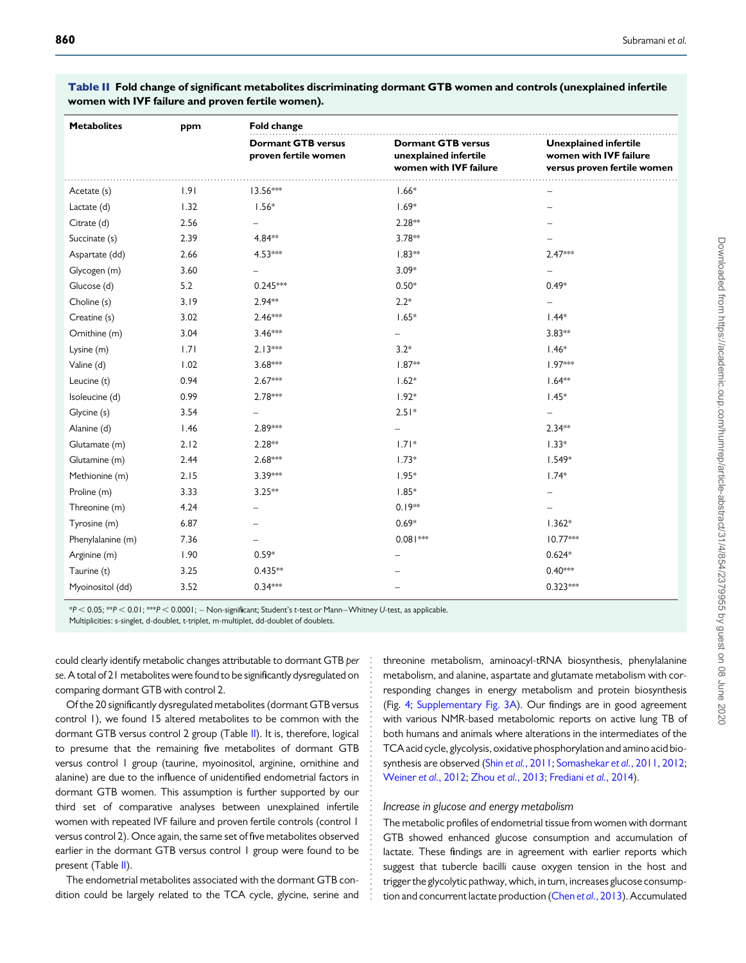| <b>Metabolites</b> | ppm  | <b>Fold change</b>                         |                                                                              |                                                                                       |
|--------------------|------|--------------------------------------------|------------------------------------------------------------------------------|---------------------------------------------------------------------------------------|
|                    |      | Dormant GTB versus<br>proven fertile women | <b>Dormant GTB versus</b><br>unexplained infertile<br>women with IVF failure | <b>Unexplained infertile</b><br>women with IVF failure<br>versus proven fertile women |
| Acetate (s)        | 1.91 | $13.56***$                                 | $1.66*$                                                                      |                                                                                       |
| Lactate (d)        | 1.32 | $1.56*$                                    | $1.69*$                                                                      |                                                                                       |
| Citrate (d)        | 2.56 |                                            | $2.28**$                                                                     |                                                                                       |
| Succinate (s)      | 2.39 | 4.84**                                     | $3.78**$                                                                     |                                                                                       |
| Aspartate (dd)     | 2.66 | 4.53***                                    | $1.83**$                                                                     | 2.47***                                                                               |
| Glycogen (m)       | 3.60 |                                            | $3.09*$                                                                      |                                                                                       |
| Glucose (d)        | 5.2  | $0.245***$                                 | $0.50*$                                                                      | $0.49*$                                                                               |
| Choline (s)        | 3.19 | $2.94**$                                   | $2.2*$                                                                       |                                                                                       |
| Creatine (s)       | 3.02 | 2.46***                                    | $1.65*$                                                                      | $1.44*$                                                                               |
| Ornithine (m)      | 3.04 | $3.46***$                                  |                                                                              | $3.83**$                                                                              |
| Lysine (m)         | 1.71 | $2.13***$                                  | $3.2*$                                                                       | $1.46*$                                                                               |
| Valine (d)         | 1.02 | 3.68***                                    | $1.87**$                                                                     | $1.97***$                                                                             |
| Leucine (t)        | 0.94 | $2.67***$                                  | $1.62*$                                                                      | $1.64**$                                                                              |
| Isoleucine (d)     | 0.99 | 2.78***                                    | $1.92*$                                                                      | $1.45*$                                                                               |
| Glycine (s)        | 3.54 |                                            | $2.51*$                                                                      |                                                                                       |
| Alanine (d)        | 1.46 | 2.89***                                    |                                                                              | $2.34**$                                                                              |
| Glutamate (m)      | 2.12 | $2.28**$                                   | $1.71*$                                                                      | $1.33*$                                                                               |
| Glutamine (m)      | 2.44 | 2.68***                                    | $1.73*$                                                                      | $1.549*$                                                                              |
| Methionine (m)     | 2.15 | 3.39***                                    | $1.95*$                                                                      | $1.74*$                                                                               |
| Proline (m)        | 3.33 | $3.25**$                                   | $1.85*$                                                                      |                                                                                       |
| Threonine (m)      | 4.24 |                                            | $0.19**$                                                                     |                                                                                       |
| Tyrosine (m)       | 6.87 |                                            | $0.69*$                                                                      | $1.362*$                                                                              |
| Phenylalanine (m)  | 7.36 |                                            | $0.081***$                                                                   | $10.77***$                                                                            |
| Arginine (m)       | 1.90 | $0.59*$                                    |                                                                              | $0.624*$                                                                              |
| Taurine (t)        | 3.25 | $0.435**$                                  |                                                                              | $0.40***$                                                                             |
| Myoinositol (dd)   | 3.52 | $0.34***$                                  |                                                                              | $0.323***$                                                                            |

<span id="page-6-0"></span>Table II Fold change of significant metabolites discriminating dormant GTB women and controls (unexplained infertile women with IVF failure and proven fertile women).

 $*P < 0.05; **P < 0.01; ***P < 0.0001; -$  Non-significant; Student's t-test or Mann-Whitney U-test, as applicable.

Multiplicities: s-singlet, d-doublet, t-triplet, m-multiplet, dd-doublet of doublets.

could clearly identify metabolic changes attributable to dormant GTB per se. A total of 21 metabolites were found to be significantly dysregulated on comparing dormant GTB with control 2.

Of the 20 significantly dysregulated metabolites (dormant GTB versus control 1), we found 15 altered metabolites to be common with the dormant GTB versus control 2 group (Table II). It is, therefore, logical to presume that the remaining five metabolites of dormant GTB versus control 1 group (taurine, myoinositol, arginine, ornithine and alanine) are due to the influence of unidentified endometrial factors in dormant GTB women. This assumption is further supported by our third set of comparative analyses between unexplained infertile women with repeated IVF failure and proven fertile controls (control 1 versus control 2). Once again, the same set of five metabolites observed earlier in the dormant GTB versus control 1 group were found to be present (Table II).

The endometrial metabolites associated with the dormant GTB condition could be largely related to the TCA cycle, glycine, serine and threonine metabolism, aminoacyl-tRNA biosynthesis, phenylalanine metabolism, and alanine, aspartate and glutamate metabolism with corresponding changes in energy metabolism and protein biosynthesis (Fig. [4](#page-8-0); [Supplementary Fig. 3A](http://humrep.oxfordjournals.org/lookup/suppl/doi:10.1093/humrep/dew003/-/DC1)). Our findings are in good agreement with various NMR-based metabolomic reports on active lung TB of both humans and animals where alterations in the intermediates of the TCA acid cycle, glycolysis, oxidative phosphorylation and amino acid bio-synthesis are observed (Shin et al.[, 2011](#page-10-0); [Somashekar](#page-10-0) et al., 2011, [2012;](#page-10-0) [Weiner](#page-11-0) et al., 2012; Zhou et al.[, 2013](#page-11-0); [Frediani](#page-10-0) et al., 2014).

#### Increase in glucose and energy metabolism

The metabolic profiles of endometrial tissue from women with dormant GTB showed enhanced glucose consumption and accumulation of lactate. These findings are in agreement with earlier reports which suggest that tubercle bacilli cause oxygen tension in the host and trigger the glycolytic pathway, which, in turn, increases glucose consumption and concurrent lactate production (Chen et al.[, 2013\)](#page-9-0). Accumulated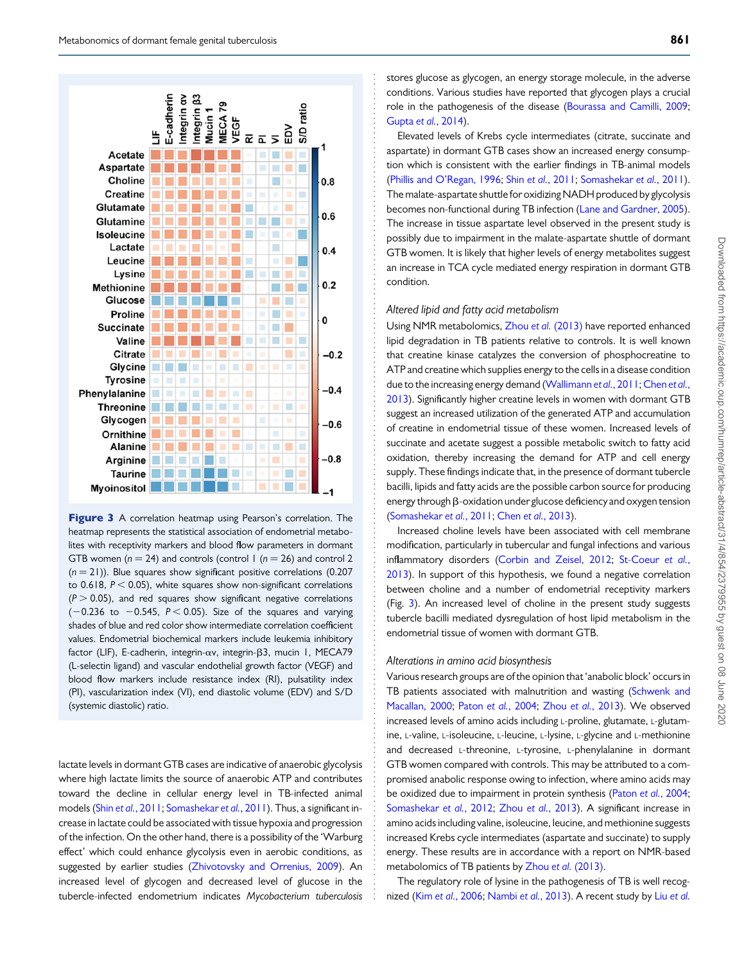<span id="page-7-0"></span>

Figure 3 A correlation heatmap using Pearson's correlation. The heatmap represents the statistical association of endometrial metabolites with receptivity markers and blood flow parameters in dormant GTB women ( $n = 24$ ) and controls (control 1 ( $n = 26$ ) and control 2  $(n = 21)$ ). Blue squares show significant positive correlations (0.207 to 0.618,  $P < 0.05$ ), white squares show non-significant correlations  $(P > 0.05)$ , and red squares show significant negative correlations  $(-0.236$  to  $-0.545$ ,  $P < 0.05$ ). Size of the squares and varying shades of blue and red color show intermediate correlation coefficient values. Endometrial biochemical markers include leukemia inhibitory factor (LIF), E-cadherin, integrin- $\alpha$ v, integrin- $\beta$ 3, mucin 1, MECA79 (L-selectin ligand) and vascular endothelial growth factor (VEGF) and blood flow markers include resistance index (RI), pulsatility index (PI), vascularization index (VI), end diastolic volume (EDV) and S/D (systemic diastolic) ratio.

lactate levels in dormant GTB cases are indicative of anaerobic glycolysis where high lactate limits the source of anaerobic ATP and contributes toward the decline in cellular energy level in TB-infected animal models (Shin et al.[, 2011;](#page-10-0) [Somashekar](#page-10-0) et al., 2011). Thus, a significant increase in lactate could be associated with tissue hypoxia and progression of the infection. On the other hand, there is a possibility of the 'Warburg effect' which could enhance glycolysis even in aerobic conditions, as suggested by earlier studies [\(Zhivotovsky and Orrenius, 2009](#page-11-0)). An increased level of glycogen and decreased level of glucose in the tubercle-infected endometrium indicates Mycobacterium tuberculosis

stores glucose as glycogen, an energy storage molecule, in the adverse conditions. Various studies have reported that glycogen plays a crucial role in the pathogenesis of the disease ([Bourassa and Camilli, 2009;](#page-9-0) Gupta et al.[, 2014\)](#page-10-0).

Elevated levels of Krebs cycle intermediates (citrate, succinate and aspartate) in dormant GTB cases show an increased energy consumption which is consistent with the earlier findings in TB-animal models [\(Phillis and O'Regan, 1996](#page-10-0); Shin et al.[, 2011](#page-10-0); [Somashekar](#page-10-0) et al., 2011). The malate-aspartate shuttle for oxidizing NADH produced by glycolysis becomes non-functional during TB infection ([Lane and Gardner, 2005\)](#page-10-0). The increase in tissue aspartate level observed in the present study is possibly due to impairment in the malate-aspartate shuttle of dormant GTB women. It is likely that higher levels of energy metabolites suggest an increase in TCA cycle mediated energy respiration in dormant GTB condition.

#### Altered lipid and fatty acid metabolism

Using NMR metabolomics, Zhou et al. [\(2013\)](#page-11-0) have reported enhanced lipid degradation in TB patients relative to controls. It is well known that creatine kinase catalyzes the conversion of phosphocreatine to ATP and creatine which supplies energy to the cells in a disease condition due to the increasing energy demand [\(Wallimann](#page-11-0) et al., 2011; [Chen](#page-9-0) et al., [2013](#page-9-0)). Significantly higher creatine levels in women with dormant GTB suggest an increased utilization of the generated ATP and accumulation of creatine in endometrial tissue of these women. Increased levels of succinate and acetate suggest a possible metabolic switch to fatty acid oxidation, thereby increasing the demand for ATP and cell energy supply. These findings indicate that, in the presence of dormant tubercle bacilli, lipids and fatty acids are the possible carbon source for producing energy through  $\beta$ -oxidation under glucose deficiency and oxygen tension [\(Somashekar](#page-10-0) et al., 2011; Chen et al.[, 2013\)](#page-9-0).

Increased choline levels have been associated with cell membrane modification, particularly in tubercular and fungal infections and various inflammatory disorders [\(Corbin and Zeisel, 2012](#page-9-0); [St-Coeur](#page-10-0) et al., [2013](#page-10-0)). In support of this hypothesis, we found a negative correlation between choline and a number of endometrial receptivity markers (Fig. 3). An increased level of choline in the present study suggests tubercle bacilli mediated dysregulation of host lipid metabolism in the endometrial tissue of women with dormant GTB.

#### Alterations in amino acid biosynthesis

Various research groups are of the opinion that 'anabolic block' occurs in TB patients associated with malnutrition and wasting ([Schwenk and](#page-10-0) [Macallan, 2000](#page-10-0); Paton et al.[, 2004;](#page-10-0) Zhou et al.[, 2013](#page-11-0)). We observed increased levels of amino acids including L-proline, glutamate, L-glutamine, L-valine, L-isoleucine, L-leucine, L-lysine, L-glycine and L-methionine and decreased L-threonine, L-tyrosine, L-phenylalanine in dormant GTB women compared with controls. This may be attributed to a compromised anabolic response owing to infection, where amino acids may be oxidized due to impairment in protein synthesis (Paton et al.[, 2004;](#page-10-0) [Somashekar](#page-10-0) et al., 2012; Zhou et al.[, 2013\)](#page-11-0). A significant increase in amino acids including valine, isoleucine, leucine, and methionine suggests increased Krebs cycle intermediates (aspartate and succinate) to supply energy. These results are in accordance with a report on NMR-based metabolomics of TB patients by Zhou et al. [\(2013\)](#page-11-0).

The regulatory role of lysine in the pathogenesis of TB is well recognized (Kim et al.[, 2006](#page-10-0); [Nambi](#page-10-0) et al., 2013). A recent study by Liu [et al.](#page-10-0)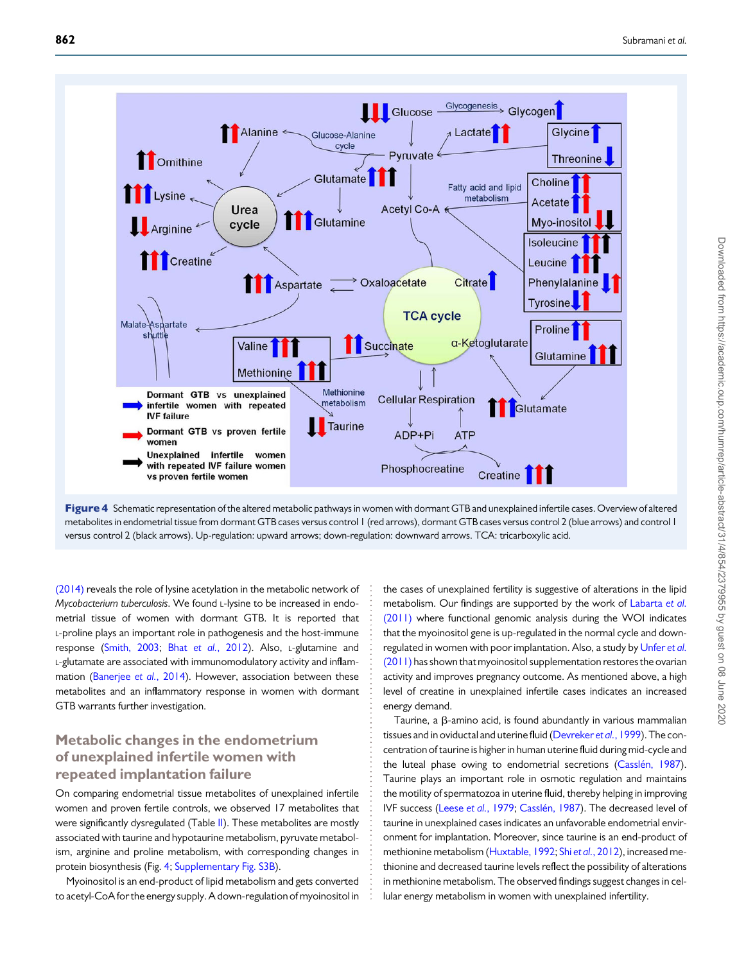<span id="page-8-0"></span>

Figure 4 Schematic representation of the altered metabolic pathways in women with dormant GTB and unexplained infertile cases. Overview of altered metabolites in endometrial tissue from dormant GTB cases versus control 1 (red arrows), dormant GTB cases versus control 2 (blue arrows) and control 1 versus control 2 (black arrows). Up-regulation: upward arrows; down-regulation: downward arrows. TCA: tricarboxylic acid.

[\(2014\)](#page-10-0) reveals the role of lysine acetylation in the metabolic network of Mycobacterium tuberculosis. We found L-lysine to be increased in endometrial tissue of women with dormant GTB. It is reported that L-proline plays an important role in pathogenesis and the host-immune response ([Smith, 2003;](#page-10-0) Bhat et al.[, 2012\)](#page-9-0). Also, L-glutamine and L-glutamate are associated with immunomodulatory activity and inflammation [\(Banerjee](#page-9-0) et al., 2014). However, association between these metabolites and an inflammatory response in women with dormant GTB warrants further investigation.

### Metabolic changes in the endometrium of unexplained infertile women with repeated implantation failure

On comparing endometrial tissue metabolites of unexplained infertile women and proven fertile controls, we observed 17 metabolites that were significantly dysregulated (Table [II](#page-6-0)). These metabolites are mostly associated with taurine and hypotaurine metabolism, pyruvate metabolism, arginine and proline metabolism, with corresponding changes in protein biosynthesis (Fig. 4; [Supplementary Fig. S3B\)](http://humrep.oxfordjournals.org/lookup/suppl/doi:10.1093/humrep/dew003/-/DC1).

Myoinositol is an end-product of lipid metabolism and gets converted to acetyl-CoA for the energy supply. A down-regulation of myoinositol in

the cases of unexplained fertility is suggestive of alterations in the lipid metabolism. Our findings are supported by the work of [Labarta](#page-10-0) et al. [\(2011\)](#page-10-0) where functional genomic analysis during the WOI indicates that the myoinositol gene is up-regulated in the normal cycle and downregulated in women with poor implantation. Also, a study by [Unfer](#page-11-0) et al. [\(2011\)](#page-11-0) has shown that myoinositol supplementation restores the ovarian activity and improves pregnancy outcome. As mentioned above, a high level of creatine in unexplained infertile cases indicates an increased energy demand.

Taurine, a  $\beta$ -amino acid, is found abundantly in various mammalian tissues and in oviductal and uterine fluid [\(Devreker](#page-10-0) et al., 1999). The concentration of taurine is higher in human uterine fluid during mid-cycle and the luteal phase owing to endometrial secretions (Casslén, 1987). Taurine plays an important role in osmotic regulation and maintains the motility of spermatozoa in uterine fluid, thereby helping in improving IVF success (Leese et al.[, 1979](#page-10-0); Casslén, 1987). The decreased level of taurine in unexplained cases indicates an unfavorable endometrial environment for implantation. Moreover, since taurine is an end-product of methionine metabolism ([Huxtable, 1992;](#page-10-0) Shi et al.[, 2012](#page-10-0)), increased methionine and decreased taurine levels reflect the possibility of alterations in methionine metabolism. The observed findings suggest changes in cellular energy metabolism in women with unexplained infertility.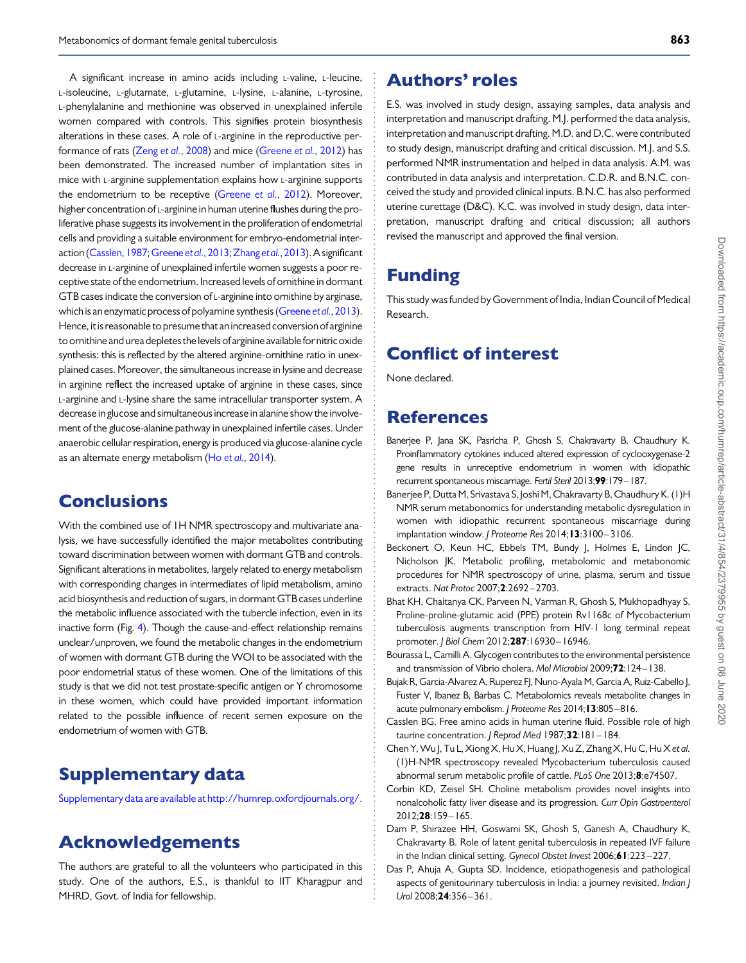<span id="page-9-0"></span>A significant increase in amino acids including L-valine, L-leucine, L-isoleucine, L-glutamate, L-glutamine, L-lysine, L-alanine, L-tyrosine, L-phenylalanine and methionine was observed in unexplained infertile women compared with controls. This signifies protein biosynthesis alterations in these cases. A role of L-arginine in the reproductive performance of rats (Zeng et al.[, 2008\)](#page-11-0) and mice ([Greene](#page-10-0) et al., 2012) has been demonstrated. The increased number of implantation sites in mice with L-arginine supplementation explains how L-arginine supports the endometrium to be receptive ([Greene](#page-10-0) et al., 2012). Moreover, higher concentration of L-arginine in human uterine flushes during the proliferative phase suggests its involvement in the proliferation of endometrial cells and providing a suitable environment for embryo-endometrial inter-action (Casslen, 1987; [Greene](#page-10-0) et al., 2013; [Zhang](#page-11-0) et al., 2013). A significant decrease in L-arginine of unexplained infertile women suggests a poor receptive state of the endometrium. Increased levels of ornithine in dormant GTB cases indicate the conversion of L-arginine into ornithine by arginase, which is an enzymatic process of polyamine synthesis ([Greene](#page-10-0) et al., 2013). Hence, it is reasonable to presume that an increased conversion of arginine to ornithine and urea depletes the levels of arginine availablefornitric oxide synthesis: this is reflected by the altered arginine-ornithine ratio in unexplained cases. Moreover, the simultaneous increase in lysine and decrease in arginine reflect the increased uptake of arginine in these cases, since L-arginine and L-lysine share the same intracellular transporter system. A decrease in glucose and simultaneous increase in alanine show the involvement of the glucose-alanine pathway in unexplained infertile cases. Under anaerobic cellular respiration, energy is produced via glucose-alanine cycle as an alternate energy metabolism (Ho et al.[, 2014](#page-10-0)).

# **Conclusions**

With the combined use of 1H NMR spectroscopy and multivariate analysis, we have successfully identified the major metabolites contributing toward discrimination between women with dormant GTB and controls. Significant alterations in metabolites, largely related to energy metabolism with corresponding changes in intermediates of lipid metabolism, amino acid biosynthesis and reduction of sugars, in dormant GTB cases underline the metabolic influence associated with the tubercle infection, even in its inactive form (Fig. [4](#page-8-0)). Though the cause-and-effect relationship remains unclear/unproven, we found the metabolic changes in the endometrium of women with dormant GTB during the WOI to be associated with the poor endometrial status of these women. One of the limitations of this study is that we did not test prostate-specific antigen or Y chromosome in these women, which could have provided important information related to the possible influence of recent semen exposure on the endometrium of women with GTB.

# Supplementary data

[Supplementary data are available athttp://humrep.oxfordjournals.org/.](http://humrep.oxfordjournals.org/lookup/suppl/doi:10.1093/humrep/dew003/-/DC1)

# Acknowledgements

The authors are grateful to all the volunteers who participated in this study. One of the authors, E.S., is thankful to IIT Kharagpur and MHRD, Govt. of India for fellowship.

## Authors' roles

E.S. was involved in study design, assaying samples, data analysis and interpretation and manuscript drafting. M.J. performed the data analysis, interpretation and manuscript drafting. M.D. and D.C. were contributed to study design, manuscript drafting and critical discussion. M.J. and S.S. performed NMR instrumentation and helped in data analysis. A.M. was contributed in data analysis and interpretation. C.D.R. and B.N.C. conceived the study and provided clinical inputs. B.N.C. has also performed uterine curettage (D&C). K.C. was involved in study design, data interpretation, manuscript drafting and critical discussion; all authors revised the manuscript and approved the final version.

# Funding

This study was funded by Government of India, Indian Council of Medical Research.

# Conflict of interest

None declared.

# References

- Banerjee P, Jana SK, Pasricha P, Ghosh S, Chakravarty B, Chaudhury K. Proinflammatory cytokines induced altered expression of cyclooxygenase-2 gene results in unreceptive endometrium in women with idiopathic recurrent spontaneous miscarriage. Fertil Steril 2013;99:179–187.
- Banerjee P, Dutta M, Srivastava S, Joshi M, Chakravarty B, Chaudhury K. (1)H NMR serum metabonomics for understanding metabolic dysregulation in women with idiopathic recurrent spontaneous miscarriage during implantation window. J Proteome Res 2014; 13:3100-3106.
- Beckonert O, Keun HC, Ebbels TM, Bundy J, Holmes E, Lindon JC, Nicholson JK. Metabolic profiling, metabolomic and metabonomic procedures for NMR spectroscopy of urine, plasma, serum and tissue extracts. Nat Protoc 2007;2:2692– 2703.
- Bhat KH, Chaitanya CK, Parveen N, Varman R, Ghosh S, Mukhopadhyay S. Proline-proline-glutamic acid (PPE) protein Rv1168c of Mycobacterium tuberculosis augments transcription from HIV-1 long terminal repeat promoter. J Biol Chem 2012;287:16930– 16946.
- Bourassa L, Camilli A. Glycogen contributes to the environmental persistence and transmission of Vibrio cholera. Mol Microbiol 2009;72:124–138.
- Bujak R, Garcia-Alvarez A, Ruperez FJ, Nuno-Ayala M, Garcia A, Ruiz-Cabello J, Fuster V, Ibanez B, Barbas C. Metabolomics reveals metabolite changes in acute pulmonary embolism. J Proteome Res 2014;13:805–816.
- Casslen BG. Free amino acids in human uterine fluid. Possible role of high taurine concentration.  $I$  Reprod Med 1987; 32:181-184.
- Chen Y, Wu J, Tu L, Xiong X, Hu X, Huang J, Xu Z, Zhang X, Hu C, Hu X et al. (1)H-NMR spectroscopy revealed Mycobacterium tuberculosis caused abnormal serum metabolic profile of cattle. PLoS One 2013;8:e74507.
- Corbin KD, Zeisel SH. Choline metabolism provides novel insights into nonalcoholic fatty liver disease and its progression. Curr Opin Gastroenterol 2012;28:159–165.
- Dam P, Shirazee HH, Goswami SK, Ghosh S, Ganesh A, Chaudhury K, Chakravarty B. Role of latent genital tuberculosis in repeated IVF failure in the Indian clinical setting. Gynecol Obstet Invest 2006;61:223 – 227.
- Das P, Ahuja A, Gupta SD. Incidence, etiopathogenesis and pathological aspects of genitourinary tuberculosis in India: a journey revisited. Indian J Urol 2008;24:356-361.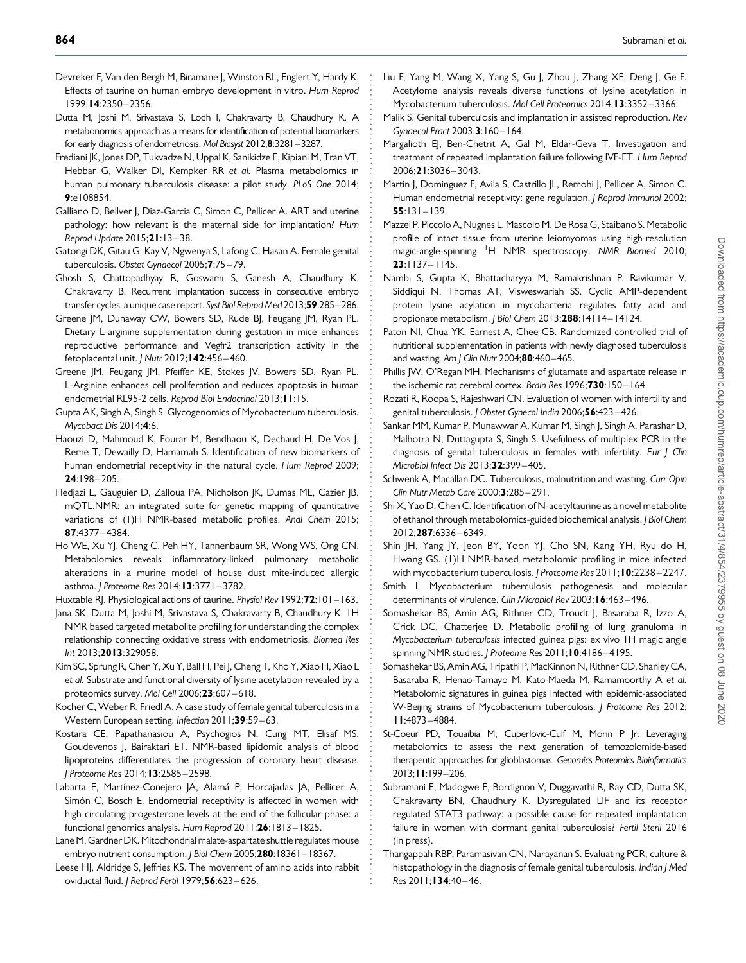- <span id="page-10-0"></span>Devreker F, Van den Bergh M, Biramane I, Winston RL, Englert Y, Hardy K, Effects of taurine on human embryo development in vitro. Hum Reprod 1999;14:2350 – 2356.
- Dutta M, Joshi M, Srivastava S, Lodh I, Chakravarty B, Chaudhury K. A metabonomics approach as a means for identification of potential biomarkers for early diagnosis of endometriosis. Mol Biosyst 2012;8:3281–3287.
- Frediani JK, Jones DP, Tukvadze N, Uppal K, Sanikidze E, Kipiani M, Tran VT, Hebbar G, Walker DI, Kempker RR et al. Plasma metabolomics in human pulmonary tuberculosis disease: a pilot study. PLoS One 2014; 9:e108854.
- Galliano D, Bellver J, Diaz-Garcia C, Simon C, Pellicer A. ART and uterine pathology: how relevant is the maternal side for implantation? Hum Reprod Update 2015;21:13 – 38.
- Gatongi DK, Gitau G, Kay V, Ngwenya S, Lafong C, Hasan A. Female genital tuberculosis. Obstet Gynaecol 2005;7:75 – 79.
- Ghosh S, Chattopadhyay R, Goswami S, Ganesh A, Chaudhury K, Chakravarty B. Recurrent implantation success in consecutive embryo transfer cycles: a unique case report. Syst Biol Reprod Med 2013;59:285-286.
- Greene JM, Dunaway CW, Bowers SD, Rude BJ, Feugang JM, Ryan PL. Dietary L-arginine supplementation during gestation in mice enhances reproductive performance and Vegfr2 transcription activity in the fetoplacental unit. *J Nutr* 2012; **142**:456-460.
- Greene JM, Feugang JM, Pfeiffer KE, Stokes JV, Bowers SD, Ryan PL. L-Arginine enhances cell proliferation and reduces apoptosis in human endometrial RL95-2 cells. Reprod Biol Endocrinol 2013;11:15.
- Gupta AK, Singh A, Singh S. Glycogenomics of Mycobacterium tuberculosis. Mycobact Dis 2014;4:6.
- Haouzi D, Mahmoud K, Fourar M, Bendhaou K, Dechaud H, De Vos J, Reme T, Dewailly D, Hamamah S. Identification of new biomarkers of human endometrial receptivity in the natural cycle. Hum Reprod 2009; 24:198 – 205.
- Hedjazi L, Gauguier D, Zalloua PA, Nicholson JK, Dumas ME, Cazier JB. mQTL.NMR: an integrated suite for genetic mapping of quantitative variations of (1)H NMR-based metabolic profiles. Anal Chem 2015; 87:4377 – 4384.
- Ho WE, Xu YJ, Cheng C, Peh HY, Tannenbaum SR, Wong WS, Ong CN. Metabolomics reveals inflammatory-linked pulmonary metabolic alterations in a murine model of house dust mite-induced allergic asthma. J Proteome Res 2014;13:3771 – 3782.

Huxtable RJ. Physiological actions of taurine. Physiol Rev 1992;72:101-163.

- Jana SK, Dutta M, Joshi M, Srivastava S, Chakravarty B, Chaudhury K. 1H NMR based targeted metabolite profiling for understanding the complex relationship connecting oxidative stress with endometriosis. Biomed Res Int 2013;2013:329058.
- Kim SC, Sprung R, Chen Y, Xu Y, Ball H, Pei J, Cheng T, Kho Y, Xiao H, Xiao L et al. Substrate and functional diversity of lysine acetylation revealed by a proteomics survey. Mol Cell 2006;23:607 – 618.
- Kocher C, Weber R, Friedl A. A case study of female genital tuberculosis in a Western European setting. Infection 2011;39:59-63.
- Kostara CE, Papathanasiou A, Psychogios N, Cung MT, Elisaf MS, Goudevenos J, Bairaktari ET. NMR-based lipidomic analysis of blood lipoproteins differentiates the progression of coronary heart disease. J Proteome Res 2014;13:2585 – 2598.
- Labarta E, Martínez-Conejero JA, Alamá P, Horcajadas JA, Pellicer A, Simón C, Bosch E. Endometrial receptivity is affected in women with high circulating progesterone levels at the end of the follicular phase: a functional genomics analysis. Hum Reprod 2011;26:1813 – 1825.
- Lane M, Gardner DK. Mitochondrial malate-aspartate shuttle regulates mouse embryo nutrient consumption. J Biol Chem 2005;280:18361-18367.
- Leese HJ, Aldridge S, Jeffries KS. The movement of amino acids into rabbit oviductal fluid. J Reprod Fertil 1979;56:623-626.
- Liu F, Yang M, Wang X, Yang S, Gu J, Zhou J, Zhang XE, Deng J, Ge F. Acetylome analysis reveals diverse functions of lysine acetylation in Mycobacterium tuberculosis. Mol Cell Proteomics 2014;13:3352 – 3366.
- Malik S. Genital tuberculosis and implantation in assisted reproduction. Rev Gynaecol Pract 2003;3:160-164.
- Margalioth EJ, Ben-Chetrit A, Gal M, Eldar-Geva T. Investigation and treatment of repeated implantation failure following IVF-ET. Hum Reprod 2006;21:3036 – 3043.
- Martin J, Dominguez F, Avila S, Castrillo JL, Remohi J, Pellicer A, Simon C. Human endometrial receptivity: gene regulation. J Reprod Immunol 2002; 55:131 – 139.
- Mazzei P, Piccolo A, Nugnes L, Mascolo M, De Rosa G, Staibano S. Metabolic profile of intact tissue from uterine leiomyomas using high-resolution magic-angle-spinning <sup>1</sup>H NMR spectroscopy. NMR Biomed 2010; 23:1137 – 1145.
- Nambi S, Gupta K, Bhattacharyya M, Ramakrishnan P, Ravikumar V, Siddiqui N, Thomas AT, Visweswariah SS. Cyclic AMP-dependent protein lysine acylation in mycobacteria regulates fatty acid and propionate metabolism. J Biol Chem 2013;288:14114– 14124.
- Paton NI, Chua YK, Earnest A, Chee CB. Randomized controlled trial of nutritional supplementation in patients with newly diagnosed tuberculosis and wasting. Am J Clin Nutr 2004;  $80:460-465$ .
- Phillis JW, O'Regan MH. Mechanisms of glutamate and aspartate release in the ischemic rat cerebral cortex. Brain Res 1996;730:150-164.
- Rozati R, Roopa S, Rajeshwari CN. Evaluation of women with infertility and genital tuberculosis. J Obstet Gynecol India 2006;56:423-426.
- Sankar MM, Kumar P, Munawwar A, Kumar M, Singh J, Singh A, Parashar D, Malhotra N, Duttagupta S, Singh S. Usefulness of multiplex PCR in the diagnosis of genital tuberculosis in females with infertility. Eur | Clin Microbiol Infect Dis 2013;32:399-405.
- Schwenk A, Macallan DC. Tuberculosis, malnutrition and wasting. Curr Opin Clin Nutr Metab Care 2000;3:285-291.
- Shi X, Yao D, Chen C. Identification of N-acetyltaurine as a novel metabolite of ethanol through metabolomics-guided biochemical analysis. J Biol Chem 2012;287:6336 – 6349.
- Shin JH, Yang JY, Jeon BY, Yoon YJ, Cho SN, Kang YH, Ryu do H, Hwang GS. (1)H NMR-based metabolomic profiling in mice infected with mycobacterium tuberculosis. *| Proteome Res* 2011; **10**:2238-2247.
- Smith I. Mycobacterium tuberculosis pathogenesis and molecular determinants of virulence. Clin Microbiol Rev 2003; 16:463-496.
- Somashekar BS, Amin AG, Rithner CD, Troudt J, Basaraba R, Izzo A, Crick DC, Chatterjee D. Metabolic profiling of lung granuloma in Mycobacterium tuberculosis infected guinea pigs: ex vivo 1H magic angle spinning NMR studies. | Proteome Res 2011; 10:4186-4195.
- Somashekar BS, Amin AG, Tripathi P, MacKinnon N, Rithner CD, Shanley CA, Basaraba R, Henao-Tamayo M, Kato-Maeda M, Ramamoorthy A et al. Metabolomic signatures in guinea pigs infected with epidemic-associated W-Beijing strains of Mycobacterium tuberculosis. J Proteome Res 2012; 11:4873–4884.
- St-Coeur PD, Touaibia M, Cuperlovic-Culf M, Morin P Jr. Leveraging metabolomics to assess the next generation of temozolomide-based therapeutic approaches for glioblastomas. Genomics Proteomics Bioinformatics 2013;11:199–206.
- Subramani E, Madogwe E, Bordignon V, Duggavathi R, Ray CD, Dutta SK, Chakravarty BN, Chaudhury K. Dysregulated LIF and its receptor regulated STAT3 pathway: a possible cause for repeated implantation failure in women with dormant genital tuberculosis? Fertil Steril 2016 (in press).
- Thangappah RBP, Paramasivan CN, Narayanan S. Evaluating PCR, culture & histopathology in the diagnosis of female genital tuberculosis. Indian J Med Res 2011;134:40-46.